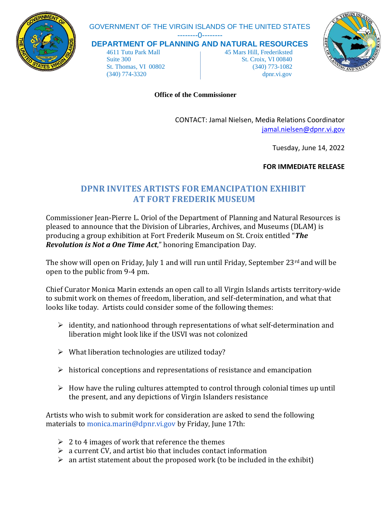

## GOVERNMENT OF THE VIRGIN ISLANDS OF THE UNITED STATES

--------0--------

**DEPARTMENT OF PLANNING AND NATURAL RESOURCES**

 4611 Tutu Park Mall 45 Mars Hill, Frederiksted Suite 300 St. Croix, VI 00840 St. Thomas, VI 00802 (340) 773-1082 (340) 774-3320 dpnr.vi.gov



**Office of the Commissioner**

CONTACT: Jamal Nielsen, Media Relations Coordinator [jamal.nielsen@dpnr.vi.gov](mailto:jamal.nielsen@dpnr.vi.gov)

Tuesday, June 14, 2022

**FOR IMMEDIATE RELEASE**

## **DPNR INVITES ARTISTS FOR EMANCIPATION EXHIBIT AT FORT FREDERIK MUSEUM**

Commissioner Jean-Pierre L. Oriol of the Department of Planning and Natural Resources is pleased to announce that the Division of Libraries, Archives, and Museums (DLAM) is producing a group exhibition at Fort Frederik Museum on St. Croix entitled "*The Revolution is Not a One Time Act*," honoring Emancipation Day.

The show will open on Friday, July 1 and will run until Friday, September 23<sup>rd</sup> and will be open to the public from 9-4 pm.

Chief Curator Monica Marin extends an open call to all Virgin Islands artists territory-wide to submit work on themes of freedom, liberation, and self-determination, and what that looks like today. Artists could consider some of the following themes:

- $\triangleright$  identity, and nationhood through representations of what self-determination and liberation might look like if the USVI was not colonized
- $\triangleright$  What liberation technologies are utilized today?
- $\triangleright$  historical conceptions and representations of resistance and emancipation
- $\triangleright$  How have the ruling cultures attempted to control through colonial times up until the present, and any depictions of Virgin Islanders resistance

Artists who wish to submit work for consideration are asked to send the following materials to monica.marin@dpnr.vi.gov by Friday, June 17th:

- $\geq 2$  to 4 images of work that reference the themes
- $\triangleright$  a current CV, and artist bio that includes contact information
- $\triangleright$  an artist statement about the proposed work (to be included in the exhibit)